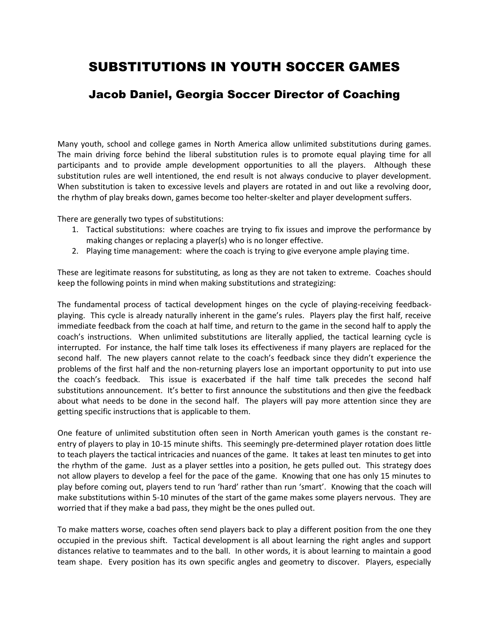## SUBSTITUTIONS IN YOUTH SOCCER GAMES

## Jacob Daniel, Georgia Soccer Director of Coaching

Many youth, school and college games in North America allow unlimited substitutions during games. The main driving force behind the liberal substitution rules is to promote equal playing time for all participants and to provide ample development opportunities to all the players. Although these substitution rules are well intentioned, the end result is not always conducive to player development. When substitution is taken to excessive levels and players are rotated in and out like a revolving door, the rhythm of play breaks down, games become too helter-skelter and player development suffers.

There are generally two types of substitutions:

- 1. Tactical substitutions: where coaches are trying to fix issues and improve the performance by making changes or replacing a player(s) who is no longer effective.
- 2. Playing time management: where the coach is trying to give everyone ample playing time.

These are legitimate reasons for substituting, as long as they are not taken to extreme. Coaches should keep the following points in mind when making substitutions and strategizing:

The fundamental process of tactical development hinges on the cycle of playing-receiving feedbackplaying. This cycle is already naturally inherent in the game's rules. Players play the first half, receive immediate feedback from the coach at half time, and return to the game in the second half to apply the coach's instructions. When unlimited substitutions are literally applied, the tactical learning cycle is interrupted. For instance, the half time talk loses its effectiveness if many players are replaced for the second half. The new players cannot relate to the coach's feedback since they didn't experience the problems of the first half and the non-returning players lose an important opportunity to put into use the coach's feedback. This issue is exacerbated if the half time talk precedes the second half substitutions announcement. It's better to first announce the substitutions and then give the feedback about what needs to be done in the second half. The players will pay more attention since they are getting specific instructions that is applicable to them.

One feature of unlimited substitution often seen in North American youth games is the constant reentry of players to play in 10-15 minute shifts. This seemingly pre-determined player rotation does little to teach players the tactical intricacies and nuances of the game. It takes at least ten minutes to get into the rhythm of the game. Just as a player settles into a position, he gets pulled out. This strategy does not allow players to develop a feel for the pace of the game. Knowing that one has only 15 minutes to play before coming out, players tend to run 'hard' rather than run 'smart'. Knowing that the coach will make substitutions within 5-10 minutes of the start of the game makes some players nervous. They are worried that if they make a bad pass, they might be the ones pulled out.

To make matters worse, coaches often send players back to play a different position from the one they occupied in the previous shift. Tactical development is all about learning the right angles and support distances relative to teammates and to the ball. In other words, it is about learning to maintain a good team shape. Every position has its own specific angles and geometry to discover. Players, especially